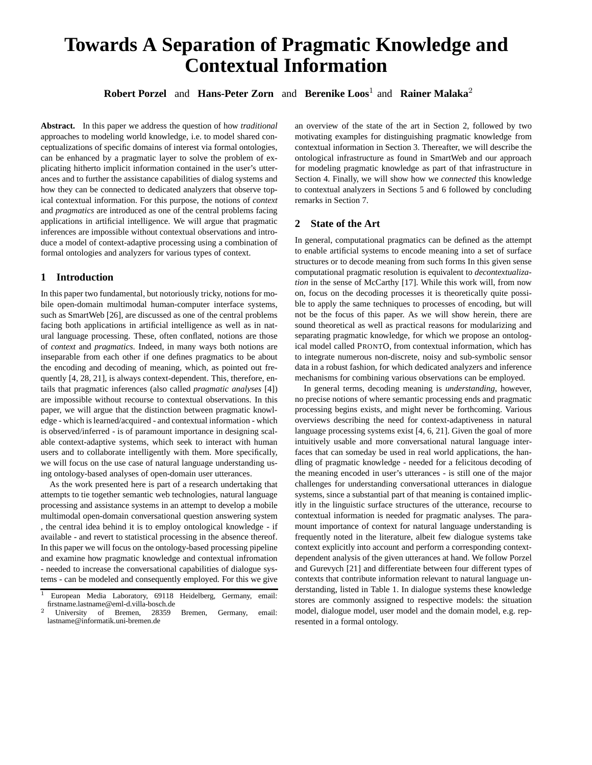# **Towards A Separation of Pragmatic Knowledge and Contextual Information**

**Robert Porzel** and **Hans-Peter Zorn** and **Berenike Loos**<sup>1</sup> and **Rainer Malaka**<sup>2</sup>

**Abstract.** In this paper we address the question of how *traditional* approaches to modeling world knowledge, i.e. to model shared conceptualizations of specific domains of interest via formal ontologies, can be enhanced by a pragmatic layer to solve the problem of explicating hitherto implicit information contained in the user's utterances and to further the assistance capabilities of dialog systems and how they can be connected to dedicated analyzers that observe topical contextual information. For this purpose, the notions of *context* and *pragmatics* are introduced as one of the central problems facing applications in artificial intelligence. We will argue that pragmatic inferences are impossible without contextual observations and introduce a model of context-adaptive processing using a combination of formal ontologies and analyzers for various types of context.

## **1 Introduction**

In this paper two fundamental, but notoriously tricky, notions for mobile open-domain multimodal human-computer interface systems, such as SmartWeb [26], are discussed as one of the central problems facing both applications in artificial intelligence as well as in natural language processing. These, often conflated, notions are those of *context* and *pragmatics*. Indeed, in many ways both notions are inseparable from each other if one defines pragmatics to be about the encoding and decoding of meaning, which, as pointed out frequently [4, 28, 21], is always context-dependent. This, therefore, entails that pragmatic inferences (also called *pragmatic analyses* [4]) are impossible without recourse to contextual observations. In this paper, we will argue that the distinction between pragmatic knowledge - which is learned/acquired - and contextual information - which is observed/inferred - is of paramount importance in designing scalable context-adaptive systems, which seek to interact with human users and to collaborate intelligently with them. More specifically, we will focus on the use case of natural language understanding using ontology-based analyses of open-domain user utterances.

As the work presented here is part of a research undertaking that attempts to tie together semantic web technologies, natural language processing and assistance systems in an attempt to develop a mobile multimodal open-domain conversational question answering system , the central idea behind it is to employ ontological knowledge - if available - and revert to statistical processing in the absence thereof. In this paper we will focus on the ontology-based processing pipeline and examine how pragmatic knowledge and contextual infromation - needed to increase the conversational capabilities of dialogue systems - can be modeled and consequently employed. For this we give

an overview of the state of the art in Section 2, followed by two motivating examples for distinguishing pragmatic knowledge from contextual information in Section 3. Thereafter, we will describe the ontological infrastructure as found in SmartWeb and our approach for modeling pragmatic knowledge as part of that infrastructure in Section 4. Finally, we will show how we *connected* this knowledge to contextual analyzers in Sections 5 and 6 followed by concluding remarks in Section 7.

## **2 State of the Art**

In general, computational pragmatics can be defined as the attempt to enable artificial systems to encode meaning into a set of surface structures or to decode meaning from such forms In this given sense computational pragmatic resolution is equivalent to *decontextualization* in the sense of McCarthy [17]. While this work will, from now on, focus on the decoding processes it is theoretically quite possible to apply the same techniques to processes of encoding, but will not be the focus of this paper. As we will show herein, there are sound theoretical as well as practical reasons for modularizing and separating pragmatic knowledge, for which we propose an ontological model called PRONTO, from contextual information, which has to integrate numerous non-discrete, noisy and sub-symbolic sensor data in a robust fashion, for which dedicated analyzers and inference mechanisms for combining various observations can be employed.

In general terms, decoding meaning is *understanding*, however, no precise notions of where semantic processing ends and pragmatic processing begins exists, and might never be forthcoming. Various overviews describing the need for context-adaptiveness in natural language processing systems exist [4, 6, 21]. Given the goal of more intuitively usable and more conversational natural language interfaces that can someday be used in real world applications, the handling of pragmatic knowledge - needed for a felicitous decoding of the meaning encoded in user's utterances - is still one of the major challenges for understanding conversational utterances in dialogue systems, since a substantial part of that meaning is contained implicitly in the linguistic surface structures of the utterance, recourse to contextual information is needed for pragmatic analyses. The paramount importance of context for natural language understanding is frequently noted in the literature, albeit few dialogue systems take context explicitly into account and perform a corresponding contextdependent analysis of the given utterances at hand. We follow Porzel and Gurevych [21] and differentiate between four different types of contexts that contribute information relevant to natural language understanding, listed in Table 1. In dialogue systems these knowledge stores are commonly assigned to respective models: the situation model, dialogue model, user model and the domain model, e.g. represented in a formal ontology.

<sup>1</sup> European Media Laboratory, 69118 Heidelberg, Germany, email: firstname.lastname@eml-d.villa-bosch.de

<sup>2</sup> University of Bremen, 28359 Bremen, Germany, email: lastname@informatik.uni-bremen.de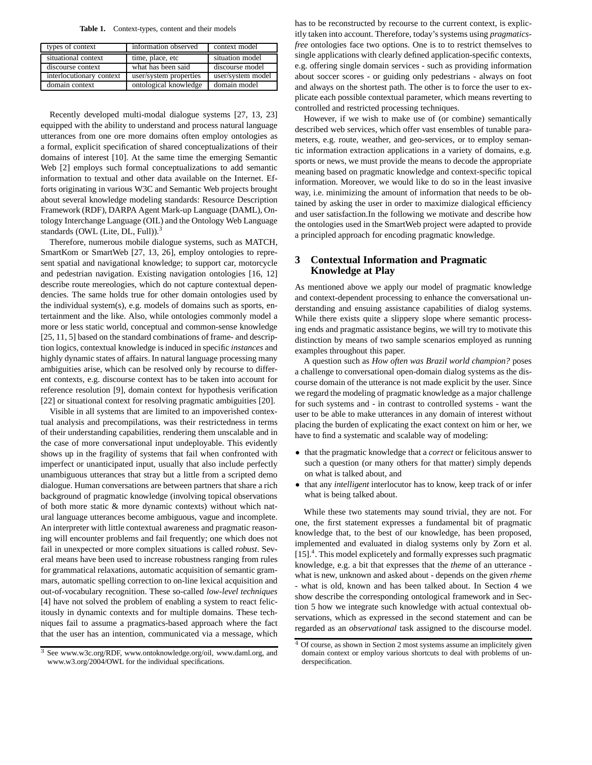**Table 1.** Context-types, content and their models

| types of context         | information observed   | context model     |
|--------------------------|------------------------|-------------------|
| situational context      | time, place, etc       | situation model   |
| discourse context        | what has been said     | discourse model   |
| interlocutionary context | user/system properties | user/system model |
| domain context           | ontological knowledge  | domain model      |

Recently developed multi-modal dialogue systems [27, 13, 23] equipped with the ability to understand and process natural language utterances from one ore more domains often employ ontologies as a formal, explicit specification of shared conceptualizations of their domains of interest [10]. At the same time the emerging Semantic Web [2] employs such formal conceptualizations to add semantic information to textual and other data available on the Internet. Efforts originating in various W3C and Semantic Web projects brought about several knowledge modeling standards: Resource Description Framework (RDF), DARPA Agent Mark-up Language (DAML), Ontology Interchange Language (OIL) and the Ontology Web Language standards (OWL (Lite, DL, Full)). $3$ 

Therefore, numerous mobile dialogue systems, such as MATCH, SmartKom or SmartWeb [27, 13, 26], employ ontologies to represent spatial and navigational knowledge; to support car, motorcycle and pedestrian navigation. Existing navigation ontologies [16, 12] describe route mereologies, which do not capture contextual dependencies. The same holds true for other domain ontologies used by the individual system(s), e.g. models of domains such as sports, entertainment and the like. Also, while ontologies commonly model a more or less static world, conceptual and common-sense knowledge [25, 11, 5] based on the standard combinations of frame- and description logics, contextual knowledge is induced in specific *instances* and highly dynamic states of affairs. In natural language processing many ambiguities arise, which can be resolved only by recourse to different contexts, e.g. discourse context has to be taken into account for reference resolution [9], domain context for hypothesis verification [22] or situational context for resolving pragmatic ambiguities [20].

Visible in all systems that are limited to an impoverished contextual analysis and precompilations, was their restrictedness in terms of their understanding capabilities, rendering them unscalable and in the case of more conversational input undeployable. This evidently shows up in the fragility of systems that fail when confronted with imperfect or unanticipated input, usually that also include perfectly unambiguous utterances that stray but a little from a scripted demo dialogue. Human conversations are between partners that share a rich background of pragmatic knowledge (involving topical observations of both more static & more dynamic contexts) without which natural language utterances become ambiguous, vague and incomplete. An interpreter with little contextual awareness and pragmatic reasoning will encounter problems and fail frequently; one which does not fail in unexpected or more complex situations is called *robust*. Several means have been used to increase robustness ranging from rules for grammatical relaxations, automatic acquisition of semantic grammars, automatic spelling correction to on-line lexical acquisition and out-of-vocabulary recognition. These so-called *low-level techniques* [4] have not solved the problem of enabling a system to react felicitously in dynamic contexts and for multiple domains. These techniques fail to assume a pragmatics-based approach where the fact that the user has an intention, communicated via a message, which has to be reconstructed by recourse to the current context, is explicitly taken into account. Therefore, today's systems using *pragmaticsfree* ontologies face two options. One is to to restrict themselves to single applications with clearly defined application-specific contexts, e.g. offering single domain services - such as providing information about soccer scores - or guiding only pedestrians - always on foot and always on the shortest path. The other is to force the user to explicate each possible contextual parameter, which means reverting to controlled and restricted processing techniques.

However, if we wish to make use of (or combine) semantically described web services, which offer vast ensembles of tunable parameters, e.g. route, weather, and geo-services, or to employ semantic information extraction applications in a variety of domains, e.g. sports or news, we must provide the means to decode the appropriate meaning based on pragmatic knowledge and context-specific topical information. Moreover, we would like to do so in the least invasive way, i.e. minimizing the amount of information that needs to be obtained by asking the user in order to maximize dialogical efficiency and user satisfaction.In the following we motivate and describe how the ontologies used in the SmartWeb project were adapted to provide a principled approach for encoding pragmatic knowledge.

## **3 Contextual Information and Pragmatic Knowledge at Play**

As mentioned above we apply our model of pragmatic knowledge and context-dependent processing to enhance the conversational understanding and ensuing assistance capabilities of dialog systems. While there exists quite a slippery slope where semantic processing ends and pragmatic assistance begins, we will try to motivate this distinction by means of two sample scenarios employed as running examples throughout this paper.

A question such as *How often was Brazil world champion?* poses a challenge to conversational open-domain dialog systems as the discourse domain of the utterance is not made explicit by the user. Since we regard the modeling of pragmatic knowledge as a major challenge for such systems and - in contrast to controlled systems - want the user to be able to make utterances in any domain of interest without placing the burden of explicating the exact context on him or her, we have to find a systematic and scalable way of modeling:

- that the pragmatic knowledge that a *correct* or felicitous answer to such a question (or many others for that matter) simply depends on what is talked about, and
- that any *intelligent* interlocutor has to know, keep track of or infer what is being talked about.

While these two statements may sound trivial, they are not. For one, the first statement expresses a fundamental bit of pragmatic knowledge that, to the best of our knowledge, has been proposed, implemented and evaluated in dialog systems only by Zorn et al. [15].<sup>4</sup>. This model explicetely and formally expresses such pragmatic knowledge, e.g. a bit that expresses that the *theme* of an utterance what is new, unknown and asked about - depends on the given *rheme* - what is old, known and has been talked about. In Section 4 we show describe the corresponding ontological framework and in Section 5 how we integrate such knowledge with actual contextual observations, which as expressed in the second statement and can be regarded as an *observational* task assigned to the discourse model.

<sup>3</sup> See www.w3c.org/RDF, www.ontoknowledge.org/oil, www.daml.org, and www.w3.org/2004/OWL for the individual specifications.

 $4$  Of course, as shown in Section 2 most systems assume an implicitely given domain context or employ various shortcuts to deal with problems of underspecification.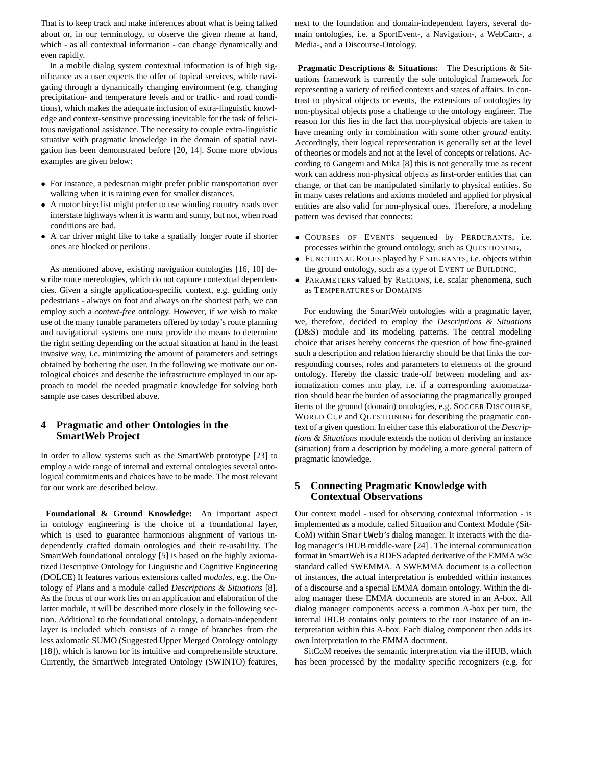That is to keep track and make inferences about what is being talked about or, in our terminology, to observe the given rheme at hand, which - as all contextual information - can change dynamically and even rapidly.

In a mobile dialog system contextual information is of high significance as a user expects the offer of topical services, while navigating through a dynamically changing environment (e.g. changing precipitation- and temperature levels and or traffic- and road conditions), which makes the adequate inclusion of extra-linguistic knowledge and context-sensitive processing inevitable for the task of felicitous navigational assistance. The necessity to couple extra-linguistic situative with pragmatic knowledge in the domain of spatial navigation has been demonstrated before [20, 14]. Some more obvious examples are given below:

- For instance, a pedestrian might prefer public transportation over walking when it is raining even for smaller distances.
- A motor bicyclist might prefer to use winding country roads over interstate highways when it is warm and sunny, but not, when road conditions are bad.
- A car driver might like to take a spatially longer route if shorter ones are blocked or perilous.

As mentioned above, existing navigation ontologies [16, 10] describe route mereologies, which do not capture contextual dependencies. Given a single application-specific context, e.g. guiding only pedestrians - always on foot and always on the shortest path, we can employ such a *context-free* ontology. However, if we wish to make use of the many tunable parameters offered by today's route planning and navigational systems one must provide the means to determine the right setting depending on the actual situation at hand in the least invasive way, i.e. minimizing the amount of parameters and settings obtained by bothering the user. In the following we motivate our ontological choices and describe the infrastructure employed in our approach to model the needed pragmatic knowledge for solving both sample use cases described above.

## **4 Pragmatic and other Ontologies in the SmartWeb Project**

In order to allow systems such as the SmartWeb prototype [23] to employ a wide range of internal and external ontologies several ontological commitments and choices have to be made. The most relevant for our work are described below.

**Foundational & Ground Knowledge:** An important aspect in ontology engineering is the choice of a foundational layer, which is used to guarantee harmonious alignment of various independently crafted domain ontologies and their re-usability. The SmartWeb foundational ontology [5] is based on the highly axiomatized Descriptive Ontology for Linguistic and Cognitive Engineering (DOLCE) It features various extensions called *modules*, e.g. the Ontology of Plans and a module called *Descriptions & Situations* [8]. As the focus of our work lies on an application and elaboration of the latter module, it will be described more closely in the following section. Additional to the foundational ontology, a domain-independent layer is included which consists of a range of branches from the less axiomatic SUMO (Suggested Upper Merged Ontology ontology [18]), which is known for its intuitive and comprehensible structure. Currently, the SmartWeb Integrated Ontology (SWINTO) features,

next to the foundation and domain-independent layers, several domain ontologies, i.e. a SportEvent-, a Navigation-, a WebCam-, a Media-, and a Discourse-Ontology.

**Pragmatic Descriptions & Situations:** The Descriptions & Situations framework is currently the sole ontological framework for representing a variety of reified contexts and states of affairs. In contrast to physical objects or events, the extensions of ontologies by non-physical objects pose a challenge to the ontology engineer. The reason for this lies in the fact that non-physical objects are taken to have meaning only in combination with some other *ground* entity. Accordingly, their logical representation is generally set at the level of theories or models and not at the level of concepts or relations. According to Gangemi and Mika [8] this is not generally true as recent work can address non-physical objects as first-order entities that can change, or that can be manipulated similarly to physical entities. So in many cases relations and axioms modeled and applied for physical entities are also valid for non-physical ones. Therefore, a modeling pattern was devised that connects:

- COURSES OF EVENTS sequenced by PERDURANTS, i.e. processes within the ground ontology, such as QUESTIONING,
- FUNCTIONAL ROLES played by ENDURANTS, i.e. objects within the ground ontology, such as a type of EVENT or BUILDING,
- PARAMETERS valued by REGIONS, i.e. scalar phenomena, such as TEMPERATURES or DOMAINS

For endowing the SmartWeb ontologies with a pragmatic layer, we, therefore, decided to employ the *Descriptions & Situations* (D&S) module and its modeling patterns. The central modeling choice that arises hereby concerns the question of how fine-grained such a description and relation hierarchy should be that links the corresponding courses, roles and parameters to elements of the ground ontology. Hereby the classic trade-off between modeling and axiomatization comes into play, i.e. if a corresponding axiomatization should bear the burden of associating the pragmatically grouped items of the ground (domain) ontologies, e.g. SOCCER DISCOURSE, WORLD CUP and QUESTIONING for describing the pragmatic context of a given question. In either case this elaboration of the *Descriptions & Situations* module extends the notion of deriving an instance (situation) from a description by modeling a more general pattern of pragmatic knowledge.

## **5 Connecting Pragmatic Knowledge with Contextual Observations**

Our context model - used for observing contextual information - is implemented as a module, called Situation and Context Module (Sit-CoM) within SmartWeb's dialog manager. It interacts with the dialog manager's iHUB middle-ware [24] . The internal communication format in SmartWeb is a RDFS adapted derivative of the EMMA w3c standard called SWEMMA. A SWEMMA document is a collection of instances, the actual interpretation is embedded within instances of a discourse and a special EMMA domain ontology. Within the dialog manager these EMMA documents are stored in an A-box. All dialog manager components access a common A-box per turn, the internal iHUB contains only pointers to the root instance of an interpretation within this A-box. Each dialog component then adds its own interpretation to the EMMA document.

SitCoM receives the semantic interpretation via the iHUB, which has been processed by the modality specific recognizers (e.g. for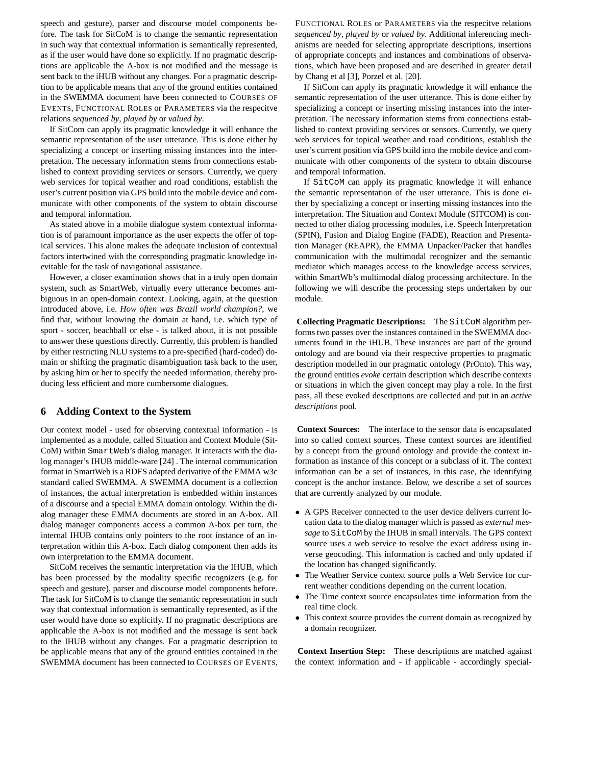speech and gesture), parser and discourse model components before. The task for SitCoM is to change the semantic representation in such way that contextual information is semantically represented, as if the user would have done so explicitly. If no pragmatic descriptions are applicable the A-box is not modified and the message is sent back to the iHUB without any changes. For a pragmatic description to be applicable means that any of the ground entities contained in the SWEMMA document have been connected to COURSES OF EVENTS, FUNCTIONAL ROLES or PARAMETERS via the respecitve relations *sequenced by*, *played by* or *valued by*.

If SitCom can apply its pragmatic knowledge it will enhance the semantic representation of the user utterance. This is done either by specializing a concept or inserting missing instances into the interpretation. The necessary information stems from connections established to context providing services or sensors. Currently, we query web services for topical weather and road conditions, establish the user's current position via GPS build into the mobile device and communicate with other components of the system to obtain discourse and temporal information.

As stated above in a mobile dialogue system contextual information is of paramount importance as the user expects the offer of topical services. This alone makes the adequate inclusion of contextual factors intertwined with the corresponding pragmatic knowledge inevitable for the task of navigational assistance.

However, a closer examination shows that in a truly open domain system, such as SmartWeb, virtually every utterance becomes ambiguous in an open-domain context. Looking, again, at the question introduced above, i.e. *How often was Brazil world champion?*, we find that, without knowing the domain at hand, i.e. which type of sport - soccer, beachball or else - is talked about, it is not possible to answer these questions directly. Currently, this problem is handled by either restricting NLU systems to a pre-specified (hard-coded) domain or shifting the pragmatic disambiguation task back to the user, by asking him or her to specify the needed information, thereby producing less efficient and more cumbersome dialogues.

## **6 Adding Context to the System**

Our context model - used for observing contextual information - is implemented as a module, called Situation and Context Module (Sit-CoM) within SmartWeb's dialog manager. It interacts with the dialog manager's IHUB middle-ware [24] . The internal communication format in SmartWeb is a RDFS adapted derivative of the EMMA w3c standard called SWEMMA. A SWEMMA document is a collection of instances, the actual interpretation is embedded within instances of a discourse and a special EMMA domain ontology. Within the dialog manager these EMMA documents are stored in an A-box. All dialog manager components access a common A-box per turn, the internal IHUB contains only pointers to the root instance of an interpretation within this A-box. Each dialog component then adds its own interpretation to the EMMA document.

SitCoM receives the semantic interpretation via the IHUB, which has been processed by the modality specific recognizers (e.g. for speech and gesture), parser and discourse model components before. The task for SitCoM is to change the semantic representation in such way that contextual information is semantically represented, as if the user would have done so explicitly. If no pragmatic descriptions are applicable the A-box is not modified and the message is sent back to the IHUB without any changes. For a pragmatic description to be applicable means that any of the ground entities contained in the SWEMMA document has been connected to COURSES OF EVENTS, FUNCTIONAL ROLES or PARAMETERS via the respecitve relations *sequenced by*, *played by* or *valued by*. Additional inferencing mechanisms are needed for selecting appropriate descriptions, insertions of appropriate concepts and instances and combinations of observations, which have been proposed and are described in greater detail by Chang et al [3], Porzel et al. [20].

If SitCom can apply its pragmatic knowledge it will enhance the semantic representation of the user utterance. This is done either by specializing a concept or inserting missing instances into the interpretation. The necessary information stems from connections established to context providing services or sensors. Currently, we query web services for topical weather and road conditions, establish the user's current position via GPS build into the mobile device and communicate with other components of the system to obtain discourse and temporal information.

If SitCoM can apply its pragmatic knowledge it will enhance the semantic representation of the user utterance. This is done either by specializing a concept or inserting missing instances into the interpretation. The Situation and Context Module (SITCOM) is connected to other dialog processing modules, i.e. Speech Interpretation (SPIN), Fusion and Dialog Engine (FADE), Reaction and Presentation Manager (REAPR), the EMMA Unpacker/Packer that handles communication with the multimodal recognizer and the semantic mediator which manages access to the knowledge access services, within SmartWb's multimodal dialog processing architecture. In the following we will describe the processing steps undertaken by our module.

**Collecting Pragmatic Descriptions:** The SitCoM algorithm performs two passes over the instances contained in the SWEMMA documents found in the iHUB. These instances are part of the ground ontology and are bound via their respective properties to pragmatic description modelled in our pragmatic ontology (PrOnto). This way, the ground entities *evoke* certain description which describe contexts or situations in which the given concept may play a role. In the first pass, all these evoked descriptions are collected and put in an *active descriptions* pool.

**Context Sources:** The interface to the sensor data is encapsulated into so called context sources. These context sources are identified by a concept from the ground ontology and provide the context information as instance of this concept or a subclass of it. The context information can be a set of instances, in this case, the identifying concept is the anchor instance. Below, we describe a set of sources that are currently analyzed by our module.

- A GPS Receiver connected to the user device delivers current location data to the dialog manager which is passed as *external message* to SitCoM by the IHUB in small intervals. The GPS context source uses a web service to resolve the exact address using inverse geocoding. This information is cached and only updated if the location has changed significantly.
- The Weather Service context source polls a Web Service for current weather conditions depending on the current location.
- The Time context source encapsulates time information from the real time clock.
- This context source provides the current domain as recognized by a domain recognizer.

**Context Insertion Step:** These descriptions are matched against the context information and - if applicable - accordingly special-